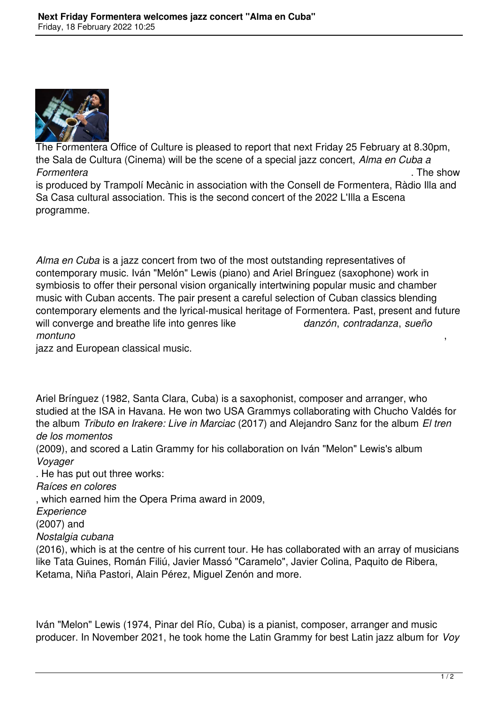

The Formentera Office of Culture is pleased to report that next Friday 25 February at 8.30pm, the Sala de Cultura (Cinema) will be the scene of a special jazz concert, *Alma en Cuba a Formentera* . The show is produced by Trampolí Mecànic in association with the Consell de Formentera, Ràdio Illa and Sa Casa cultural association. This is the second concert of the 2022 L'Illa a Escena programme.

*Alma en Cuba* is a jazz concert from two of the most outstanding representatives of contemporary music. Iván "Melón" Lewis (piano) and Ariel Brínguez (saxophone) work in symbiosis to offer their personal vision organically intertwining popular music and chamber music with Cuban accents. The pair present a careful selection of Cuban classics blending contemporary elements and the lyrical-musical heritage of Formentera. Past, present and future will converge and breathe life into genres like *danzón*, *contradanza*, *sueño montuno* ,

jazz and European classical music.

Ariel Brínguez (1982, Santa Clara, Cuba) is a saxophonist, composer and arranger, who studied at the ISA in Havana. He won two USA Grammys collaborating with Chucho Valdés for the album *Tributo en Irakere: Live in Marciac* (2017) and Alejandro Sanz for the album *El tren de los momentos*

(2009), and scored a Latin Grammy for his collaboration on Iván "Melon" Lewis's album *Voyager*

. He has put out three works:

*Raíces en colores*

, which earned him the Opera Prima award in 2009,

*Experience*

(2007) and

*Nostalgia cubana*

(2016), which is at the centre of his current tour. He has collaborated with an array of musicians like Tata Guines, Román Filiú, Javier Massó "Caramelo", Javier Colina, Paquito de Ribera, Ketama, Niña Pastori, Alain Pérez, Miguel Zenón and more.

Iván "Melon" Lewis (1974, Pinar del Río, Cuba) is a pianist, composer, arranger and music producer. In November 2021, he took home the Latin Grammy for best Latin jazz album for *Voy*